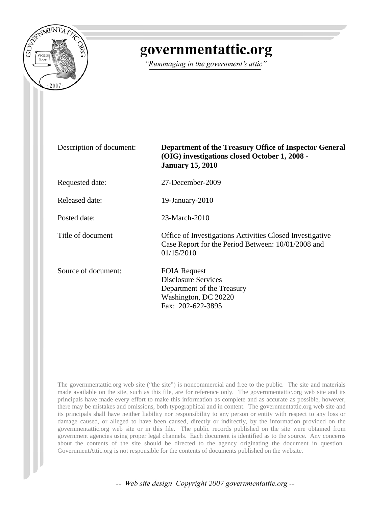

## governmentattic.org

"Rummaging in the government's attic"

Description of document: **Department of the Treasury Office of Inspector General (OIG) investigations closed October 1, 2008 - January 15, 2010** Requested date: 27-December-2009 Released date: 19-January-2010 Posted date: 23-March-2010 Title of document Office of Investigations Activities Closed Investigative Case Report for the Period Between: 10/01/2008 and 01/15/2010 Source of document: FOIA Request Disclosure Services Department of the Treasury Washington, DC 20220 Fax: 202-622-3895

The governmentattic.org web site ("the site") is noncommercial and free to the public. The site and materials made available on the site, such as this file, are for reference only. The governmentattic.org web site and its principals have made every effort to make this information as complete and as accurate as possible, however, there may be mistakes and omissions, both typographical and in content. The governmentattic.org web site and its principals shall have neither liability nor responsibility to any person or entity with respect to any loss or damage caused, or alleged to have been caused, directly or indirectly, by the information provided on the governmentattic.org web site or in this file. The public records published on the site were obtained from government agencies using proper legal channels. Each document is identified as to the source. Any concerns about the contents of the site should be directed to the agency originating the document in question. GovernmentAttic.org is not responsible for the contents of documents published on the website.

-- Web site design Copyright 2007 governmentattic.org --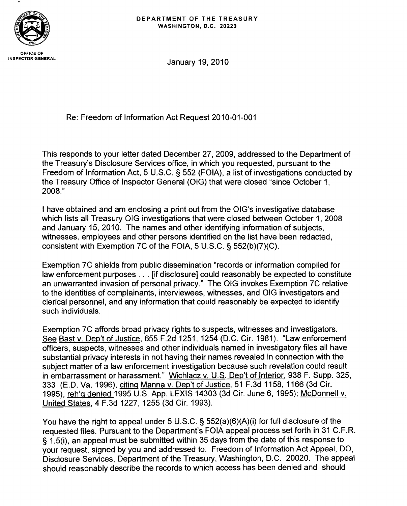

January 19, 2010

Re: Freedom of Information Act Request 2010-01-001

This responds to your letter dated December 27,2009, addressed to the Department of the Treasury's Disclosure Services office, in which you requested, pursuant to the Freedom of Information Act, 5 U.S.C. § 552 (FOIA), a list of investigations conducted by the Treasury Office of Inspector General (OIG) that were closed "since October 1, 2008."

I have obtained and am enclosing a print out from the OIG's investigative database which lists all Treasury OIG investigations that were closed between October 1, 2008 and January 15, 2010. The names and other identifying information of subjects, witnesses, employees and other persons identified on the list have been redacted, consistent with Exemption 7C of the FOIA, 5 U.S.C. § 552(b)(7)(C).

Exemption 7C shields from public dissemination "records or information compiled for law enforcement purposes ... [if disclosure1 could reasonably be expected to constitute an unwarranted invasion of personal privacy." The OIG invokes Exemption 7C relative to the identities of complainants, interviewees, witnesses, and OIG investigators and clerical personnel, and any information that could reasonably be expected to identify such individuals.

Exemption 7C affords broad privacy rights to suspects, witnesses and investigators. See Bast v. DeD't of Justice, 655 F.2d 1251, 1254 (D.C. Cir. 1981). "Law enforcement officers, suspects, witnesses and other individuals named in investigatory files all have substantial privacy interests in not having their names revealed in connection with the subject matter of a law enforcement investigation because such revelation could result in embarrassment or harassment." Wichlacz v. U.S. Dep't of Interior, 938 F. Supp. 325, 333 (E.D. Va. 1996), citing Manna v. DeD't of Justice, 51 F.3d 1158, 1166 (3d Cir. 1995), reh'g denied 1995 U.S. App. LEXIS 14303 (3d Cir. June 6, 1995); McDonnell V. United States, 4 F.3d 1227, 1255 (3d Cir. 1993).

You have the right to appeal under 5 U.S.C. § 552(a)(6)(A)(i) for full disclosure of the requested files. Pursuant to the Department's FOIA appeal process set forth in 31 C.F.R. § 1.5(i), an appeal must be submitted within 35 days from the date of this response to your request, signed by you and addressed to: Freedom of Information Act Appeal, DO, Disclosure Services, Department of the Treasury, Washington, D.C. 20020. The appeal should reasonably describe the records to which access has been denied and should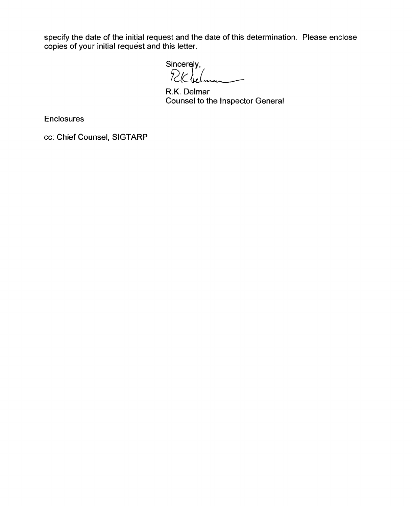specify the date of the initial request and the date of this determination. Please enclose copies of your initial request and this letter.

 $Sincerely,$ <br> $R(K)$ 

R.K. Delmar Counsel to the Inspector General

Enclosures

cc: Chief Counsel, SIGTARP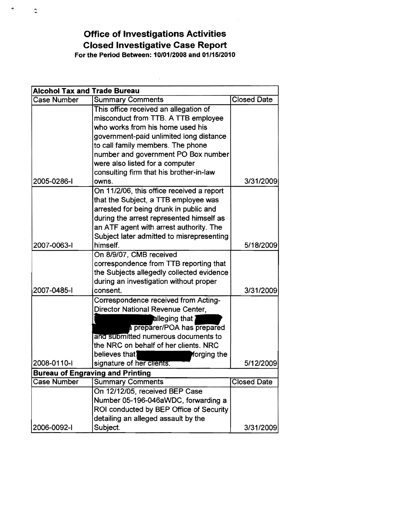**Office of Investigations Activities Closed Investigative Case Report** For the Period Between: *10/01/2008* and *01/15/2010* 

 $\sim 10^6$ 

| <b>Alcohol Tax and Trade Bureau</b>     |                                           |                    |
|-----------------------------------------|-------------------------------------------|--------------------|
| <b>Case Number</b>                      | <b>Summary Comments</b>                   | <b>Closed Date</b> |
|                                         | This office received an allegation of     |                    |
|                                         | misconduct from TTB. A TTB employee       |                    |
|                                         | who works from his home used his          |                    |
|                                         | government-paid unlimited long distance   |                    |
|                                         | to call family members. The phone         |                    |
|                                         | number and government PO Box number       |                    |
|                                         | were also listed for a computer           |                    |
|                                         | consulting firm that his brother-in-law   |                    |
| 2005-0286-1                             | owns.                                     | 3/31/2009          |
|                                         | On 11/2/06, this office received a report |                    |
|                                         | that the Subject, a TTB employee was      |                    |
|                                         | arrested for being drunk in public and    |                    |
|                                         | during the arrest represented himself as  |                    |
|                                         | an ATF agent with arrest authority. The   |                    |
|                                         | Subject later admitted to misrepresenting |                    |
| 2007-0063-1                             | himself.                                  | 5/18/2009          |
|                                         | On 8/9/07, CMB received                   |                    |
|                                         | correspondence from TTB reporting that    |                    |
|                                         | the Subjects allegedly collected evidence |                    |
|                                         | during an investigation without proper    |                    |
| 2007-0485-1                             | consent.                                  | 3/31/2009          |
|                                         | Correspondence received from Acting-      |                    |
|                                         | Director National Revenue Center,         |                    |
|                                         |                                           |                    |
|                                         | a preparer/POA has prepared               |                    |
|                                         | and submitted numerous documents to       |                    |
|                                         | the NRC on behalf of her clients. NRC     |                    |
|                                         | believes that)<br>forging the             |                    |
| 2008-0110-1                             | signature of her clients.                 | 5/12/2009          |
| <b>Bureau of Engraving and Printing</b> |                                           |                    |
| <b>Case Number</b>                      | <b>Summary Comments</b>                   | <b>Closed Date</b> |
|                                         | On 12/12/05, received BEP Case            |                    |
|                                         | Number 05-196-046aWDC, forwarding a       |                    |
|                                         | ROI conducted by BEP Office of Security   |                    |
|                                         | detailing an alleged assault by the       |                    |
| 2006-0092-1                             | Subject.                                  | 3/31/2009          |

 $\ddot{\mathbb{C}}$ 

 $\frac{d\mathbf{r}}{2}$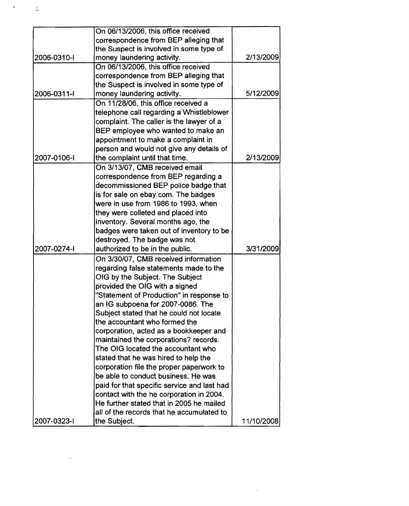|             | On 06/13/2006, this office received         |            |
|-------------|---------------------------------------------|------------|
|             | correspondence from BEP alleging that       |            |
|             | the Suspect is involved in some type of     |            |
| 2006-0310-1 | money laundering activity.                  | 2/13/2009  |
|             | On 06/13/2006, this office received         |            |
|             | correspondence from BEP alleging that       |            |
|             | the Suspect is involved in some type of     |            |
| 2006-0311-I | money laundering activity.                  | 5/12/2009  |
|             | On 11/28/06, this office received a         |            |
|             | telephone call regarding a Whistleblower    |            |
|             | complaint. The caller is the lawyer of a    |            |
|             | BEP employee who wanted to make an          |            |
|             | appointment to make a complaint in          |            |
|             | person and would not give any details of    |            |
| 2007-0106-1 |                                             | 2/13/2009  |
|             | the complaint until that time.              |            |
|             | On 3/13/07, CMB received email              |            |
|             | correspondence from BEP regarding a         |            |
|             | decommissioned BEP police badge that        |            |
|             | is for sale on ebay.com. The badges         |            |
|             | were in use from 1986 to 1993, when         |            |
|             | they were colleted and placed into          |            |
|             | inventory. Several months ago, the          |            |
|             | badges were taken out of inventory to be    |            |
|             | destroyed. The badge was not                |            |
| 2007-0274-1 | authorized to be in the public.             | 3/31/2009  |
|             | On 3/30/07, CMB received information        |            |
|             | regarding false statements made to the      |            |
|             | OIG by the Subject. The Subject             |            |
|             | provided the OIG with a signed              |            |
|             | "Statement of Production" in response to    |            |
|             | an IG subpoena for 2007-0086. The           |            |
|             | Subject stated that he could not locate     |            |
|             | the accountant who formed the               |            |
|             | corporation, acted as a bookkeeper and      |            |
|             | maintained the corporations? records.       |            |
|             | The OIG located the accountant who          |            |
|             | stated that he was hired to help the        |            |
|             | corporation file the proper paperwork to    |            |
|             | be able to conduct business. He was         |            |
|             | paid for that specific service and last had |            |
|             | contact with the he corporation in 2004.    |            |
|             | He further stated that in 2005 he mailed    |            |
|             | all of the records that he accumulated to   |            |
|             |                                             |            |
| 2007-0323-1 | the Subject.                                | 11/10/2008 |

 $\mathcal{L}^{\text{max}}_{\text{max}}$  ,  $\mathcal{L}^{\text{max}}_{\text{max}}$ 

 $\label{eq:2.1} \frac{1}{\sqrt{2}}\int_{0}^{\infty}\frac{1}{\sqrt{2\pi}}\left(\frac{1}{\sqrt{2\pi}}\right)^{2\alpha} \frac{1}{\sqrt{2\pi}}\int_{0}^{\infty}\frac{1}{\sqrt{2\pi}}\left(\frac{1}{\sqrt{2\pi}}\right)^{\alpha} \frac{1}{\sqrt{2\pi}}\frac{1}{\sqrt{2\pi}}\int_{0}^{\infty}\frac{1}{\sqrt{2\pi}}\frac{1}{\sqrt{2\pi}}\frac{1}{\sqrt{2\pi}}\frac{1}{\sqrt{2\pi}}\frac{1}{\sqrt{2\pi}}\frac{1}{\sqrt{2\pi}}$ 

 $\label{eq:2.1} \frac{1}{2} \sum_{i=1}^n \frac{1}{2} \sum_{j=1}^n \frac{1}{2} \sum_{j=1}^n \frac{1}{2} \sum_{j=1}^n \frac{1}{2} \sum_{j=1}^n \frac{1}{2} \sum_{j=1}^n \frac{1}{2} \sum_{j=1}^n \frac{1}{2} \sum_{j=1}^n \frac{1}{2} \sum_{j=1}^n \frac{1}{2} \sum_{j=1}^n \frac{1}{2} \sum_{j=1}^n \frac{1}{2} \sum_{j=1}^n \frac{1}{2} \sum_{j=1}^n \frac{$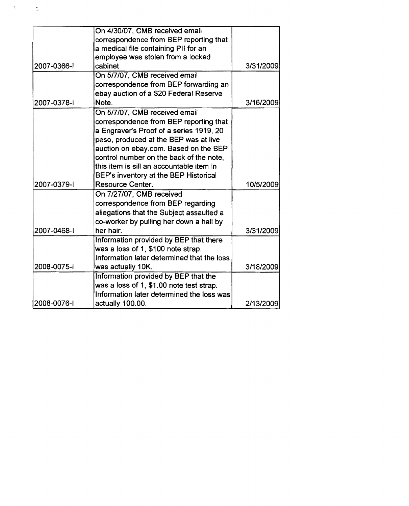|             | On 4/30/07, CMB received email             |           |
|-------------|--------------------------------------------|-----------|
|             | correspondence from BEP reporting that     |           |
|             | a medical file containing PII for an       |           |
|             | employee was stolen from a locked          |           |
| 2007-0366-1 | cabinet                                    | 3/31/2009 |
|             | On 5/7/07, CMB received email              |           |
|             | correspondence from BEP forwarding an      |           |
|             | ebay auction of a \$20 Federal Reserve     |           |
| 2007-0378-1 | Note.                                      | 3/16/2009 |
|             | On 5/7/07, CMB received email              |           |
|             | correspondence from BEP reporting that     |           |
|             | a Engraver's Proof of a series 1919, 20    |           |
|             | peso, produced at the BEP was at live      |           |
|             | auction on ebay.com. Based on the BEP      |           |
|             | control number on the back of the note,    |           |
|             | this item is sill an accountable item in   |           |
|             | BEP's inventory at the BEP Historical      |           |
| 2007-0379-1 | <b>Resource Center.</b>                    | 10/5/2009 |
|             | On 7/27/07, CMB received                   |           |
|             | correspondence from BEP regarding          |           |
|             | allegations that the Subject assaulted a   |           |
|             | co-worker by pulling her down a hall by    |           |
| 2007-0468-1 | her hair.                                  | 3/31/2009 |
|             | Information provided by BEP that there     |           |
|             | was a loss of 1, \$100 note strap.         |           |
|             | Information later determined that the loss |           |
| 2008-0075-1 | was actually 10K.                          | 3/18/2009 |
|             | Information provided by BEP that the       |           |
|             | was a loss of 1, \$1.00 note test strap.   |           |
|             | Information later determined the loss was  |           |
| 2008-0076-1 | actually 100.00.                           | 2/13/2009 |

 $\mathcal{A}^{\text{in}}(\mathcal{A})$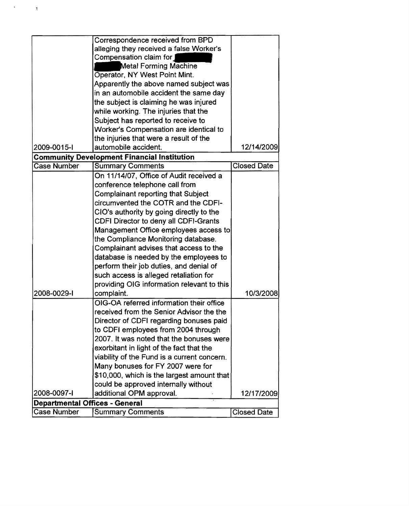|                                       | Correspondence received from BPD                   |                    |
|---------------------------------------|----------------------------------------------------|--------------------|
|                                       | alleging they received a false Worker's            |                    |
|                                       | Compensation claim for                             |                    |
|                                       | <b>Metal Forming Machine</b>                       |                    |
|                                       | Operator, NY West Point Mint.                      |                    |
|                                       | Apparently the above named subject was             |                    |
|                                       | in an automobile accident the same day             |                    |
|                                       | the subject is claiming he was injured             |                    |
|                                       | while working. The injuries that the               |                    |
|                                       | Subject has reported to receive to                 |                    |
|                                       | Worker's Compensation are identical to             |                    |
|                                       | the injuries that were a result of the             |                    |
| 2009-0015-1                           | automobile accident.                               | 12/14/2009         |
|                                       | <b>Community Development Financial Institution</b> |                    |
| <b>Case Number</b>                    | <b>Summary Comments</b>                            | <b>Closed Date</b> |
|                                       | On 11/14/07, Office of Audit received a            |                    |
|                                       | conference telephone call from                     |                    |
|                                       | Complainant reporting that Subject                 |                    |
|                                       | circumvented the COTR and the CDFI-                |                    |
|                                       | CIO's authority by going directly to the           |                    |
|                                       | CDFI Director to deny all CDFI-Grants              |                    |
|                                       | Management Office employees access to              |                    |
|                                       | the Compliance Monitoring database.                |                    |
|                                       | Complainant advises that access to the             |                    |
|                                       | database is needed by the employees to             |                    |
|                                       | perform their job duties, and denial of            |                    |
|                                       | such access is alleged retaliation for             |                    |
|                                       | providing OIG information relevant to this         |                    |
| 2008-0029-1                           | complaint.                                         | 10/3/2008          |
|                                       | OIG-OA referred information their office           |                    |
|                                       | received from the Senior Advisor the the           |                    |
|                                       | Director of CDFI regarding bonuses paid            |                    |
|                                       | to CDFI employees from 2004 through                |                    |
|                                       | 2007. It was noted that the bonuses were           |                    |
|                                       | exorbitant in light of the fact that the           |                    |
|                                       | viability of the Fund is a current concern.        |                    |
|                                       | Many bonuses for FY 2007 were for                  |                    |
|                                       | \$10,000, which is the largest amount that         |                    |
|                                       | could be approved internally without               |                    |
| 2008-0097-1                           | additional OPM approval.                           | 12/17/2009         |
| <b>Departmental Offices - General</b> |                                                    |                    |
| <b>Case Number</b>                    | <b>Summary Comments</b>                            | <b>Closed Date</b> |

 $\mathcal{A}^{\text{max}}_{\text{max}}$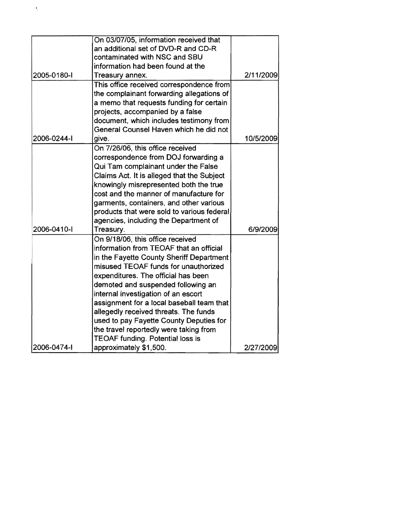|             | On 03/07/05, information received that     |           |
|-------------|--------------------------------------------|-----------|
|             | an additional set of DVD-R and CD-R        |           |
|             | contaminated with NSC and SBU              |           |
|             | information had been found at the          |           |
| 2005-0180-I | Treasury annex.                            | 2/11/2009 |
|             | This office received correspondence from   |           |
|             | the complainant forwarding allegations of  |           |
|             | a memo that requests funding for certain   |           |
|             | projects, accompanied by a false           |           |
|             | document, which includes testimony from    |           |
|             | General Counsel Haven which he did not     |           |
| 2006-0244-1 | give.                                      | 10/5/2009 |
|             | On 7/26/06, this office received           |           |
|             | correspondence from DOJ forwarding a       |           |
|             | Qui Tam complainant under the False        |           |
|             | Claims Act. It is alleged that the Subject |           |
|             | knowingly misrepresented both the true     |           |
|             | cost and the manner of manufacture for     |           |
|             | garments, containers, and other various    |           |
|             | products that were sold to various federal |           |
|             | agencies, including the Department of      |           |
| 2006-0410-1 | Treasury.                                  | 6/9/2009  |
|             | On 9/18/06, this office received           |           |
|             | information from TEOAF that an official    |           |
|             | in the Fayette County Sheriff Department   |           |
|             | misused TEOAF funds for unauthorized       |           |
|             | expenditures. The official has been        |           |
|             | demoted and suspended following an         |           |
|             | internal investigation of an escort        |           |
|             | assignment for a local baseball team that  |           |
|             | allegedly received threats. The funds      |           |
|             | used to pay Fayette County Deputies for    |           |
|             | the travel reportedly were taking from     |           |
|             | <b>TEOAF funding. Potential loss is</b>    |           |
| 2006-0474-1 | approximately \$1,500.                     | 2/27/2009 |

 $\epsilon$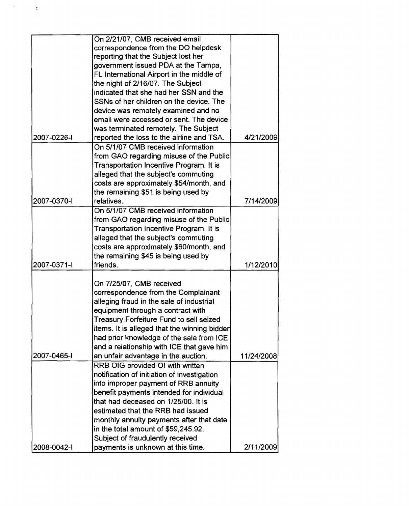|             | On 2/21/07, CMB received email               |            |
|-------------|----------------------------------------------|------------|
|             | correspondence from the DO helpdesk          |            |
|             | reporting that the Subject lost her          |            |
|             | government issued PDA at the Tampa,          |            |
|             | FL International Airport in the middle of    |            |
|             | the night of 2/16/07. The Subject            |            |
|             | indicated that she had her SSN and the       |            |
|             | SSNs of her children on the device. The      |            |
|             | device was remotely examined and no          |            |
|             | email were accessed or sent. The device      |            |
|             | was terminated remotely. The Subject         |            |
| 2007-0226-1 | reported the loss to the airline and TSA.    | 4/21/2009  |
|             |                                              |            |
|             | On 5/1/07 CMB received information           |            |
|             | from GAO regarding misuse of the Public      |            |
|             | Transportation Incentive Program. It is      |            |
|             | alleged that the subject's commuting         |            |
|             | costs are approximately \$54/month, and      |            |
|             | the remaining \$51 is being used by          |            |
| 2007-0370-1 | relatives.                                   | 7/14/2009  |
|             | On 5/1/07 CMB received information           |            |
|             | from GAO regarding misuse of the Public      |            |
|             | Transportation Incentive Program. It is      |            |
|             | alleged that the subject's commuting         |            |
|             | costs are approximately \$60/month, and      |            |
|             | the remaining \$45 is being used by          |            |
| 2007-0371-1 | friends.                                     | 1/12/2010  |
|             |                                              |            |
|             | On 7/25/07, CMB received                     |            |
|             | correspondence from the Complainant          |            |
|             | alleging fraud in the sale of industrial     |            |
|             | equipment through a contract with            |            |
|             | Treasury Forfeiture Fund to sell seized      |            |
|             | items. It is alleged that the winning bidder |            |
|             | had prior knowledge of the sale from ICE     |            |
|             | and a relationship with ICE that gave him    |            |
| 2007-0465-1 | an unfair advantage in the auction.          | 11/24/2008 |
|             | RRB OIG provided OI with written             |            |
|             | notification of initiation of investigation  |            |
|             | into improper payment of RRB annuity         |            |
|             | benefit payments intended for individual     |            |
|             | that had deceased on 1/25/00. It is          |            |
|             | estimated that the RRB had issued            |            |
|             | monthly annuity payments after that date     |            |
|             |                                              |            |
|             | in the total amount of \$59,245.92.          |            |
|             | Subject of fraudulently received             |            |
| 2008-0042-1 | payments is unknown at this time.            | 2/11/2009  |

 $\mathcal{A}^{\text{max}}_{\text{max}}$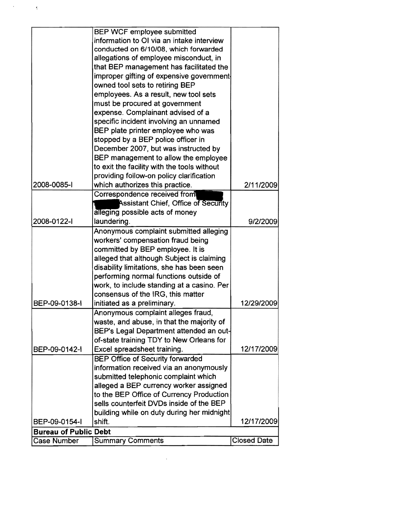| <b>Case Number</b>           | <b>Summary Comments</b>                                                            | <b>Closed Date</b> |
|------------------------------|------------------------------------------------------------------------------------|--------------------|
| <b>Bureau of Public Debt</b> |                                                                                    |                    |
| BEP-09-0154-I                | shift.                                                                             |                    |
|                              |                                                                                    | 12/17/2009         |
|                              | building while on duty during her midnight                                         |                    |
|                              | sells counterfeit DVDs inside of the BEP                                           |                    |
|                              | to the BEP Office of Currency Production                                           |                    |
|                              | alleged a BEP currency worker assigned                                             |                    |
|                              | submitted telephonic complaint which                                               |                    |
|                              | <b>BEP Office of Security forwarded</b><br>information received via an anonymously |                    |
|                              |                                                                                    |                    |
| BEP-09-0142-I                | Excel spreadsheet training.                                                        | 12/17/2009         |
|                              | of-state training TDY to New Orleans for                                           |                    |
|                              | BEP's Legal Department attended an out-                                            |                    |
|                              | waste, and abuse, in that the majority of                                          |                    |
|                              | Anonymous complaint alleges fraud,                                                 |                    |
| BEP-09-0138-I                | initiated as a preliminary.                                                        | 12/29/2009         |
|                              | consensus of the IRG, this matter                                                  |                    |
|                              | work, to include standing at a casino. Per                                         |                    |
|                              | performing normal functions outside of                                             |                    |
|                              | disability limitations, she has been seen                                          |                    |
|                              | alleged that although Subject is claiming                                          |                    |
|                              | committed by BEP employee. It is                                                   |                    |
|                              | workers' compensation fraud being                                                  |                    |
|                              | Anonymous complaint submitted alleging                                             |                    |
| 2008-0122-1                  | laundering.                                                                        | 9/2/2009           |
|                              | alleging possible acts of money                                                    |                    |
|                              | <b>Assistant Chief, Office of Security</b>                                         |                    |
|                              | Correspondence received from                                                       |                    |
| 2008-0085-1                  | which authorizes this practice.                                                    | 2/11/2009          |
|                              | providing follow-on policy clarification                                           |                    |
|                              | to exit the facility with the tools without                                        |                    |
|                              | BEP management to allow the employee                                               |                    |
|                              | December 2007, but was instructed by                                               |                    |
|                              | stopped by a BEP police officer in                                                 |                    |
|                              | BEP plate printer employee who was                                                 |                    |
|                              | specific incident involving an unnamed                                             |                    |
|                              | must be procured at government<br>expense. Complainant advised of a                |                    |
|                              |                                                                                    |                    |
|                              | owned tool sets to retiring BEP<br>employees. As a result, new tool sets           |                    |
|                              |                                                                                    |                    |
|                              | improper gifting of expensive government                                           |                    |
|                              | allegations of employee misconduct, in<br>that BEP management has facilitated the  |                    |
|                              | conducted on 6/10/08, which forwarded                                              |                    |
|                              | information to OI via an intake interview                                          |                    |
|                              | BEP WCF employee submitted                                                         |                    |
|                              |                                                                                    |                    |

 $\label{eq:2.1} \frac{1}{\sqrt{2}}\left(\frac{1}{\sqrt{2}}\right)^{2} \left(\frac{1}{\sqrt{2}}\right)^{2} \left(\frac{1}{\sqrt{2}}\right)^{2} \left(\frac{1}{\sqrt{2}}\right)^{2} \left(\frac{1}{\sqrt{2}}\right)^{2} \left(\frac{1}{\sqrt{2}}\right)^{2} \left(\frac{1}{\sqrt{2}}\right)^{2} \left(\frac{1}{\sqrt{2}}\right)^{2} \left(\frac{1}{\sqrt{2}}\right)^{2} \left(\frac{1}{\sqrt{2}}\right)^{2} \left(\frac{1}{\sqrt{2}}\right)^{2} \left(\$ 

 $\mathcal{L}^{\text{max}}_{\text{max}}$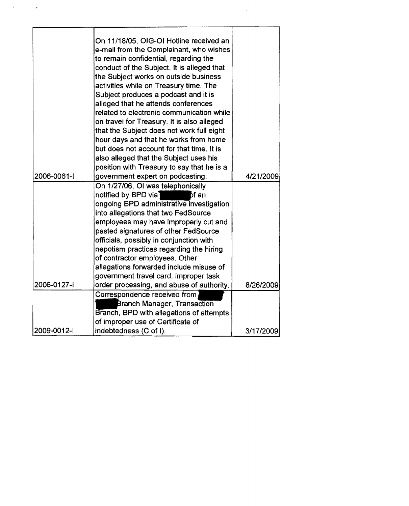|             | On 11/18/05, OIG-OI Hotline received an<br>e-mail from the Complainant, who wishes  |           |
|-------------|-------------------------------------------------------------------------------------|-----------|
|             | to remain confidential, regarding the                                               |           |
|             | conduct of the Subject. It is alleged that                                          |           |
|             | the Subject works on outside business                                               |           |
|             | activities while on Treasury time. The                                              |           |
|             | Subject produces a podcast and it is                                                |           |
|             | alleged that he attends conferences                                                 |           |
|             | related to electronic communication while                                           |           |
|             | on travel for Treasury. It is also alleged                                          |           |
|             | that the Subject does not work full eight                                           |           |
|             | hour days and that he works from home                                               |           |
|             | but does not account for that time. It is<br>also alleged that the Subject uses his |           |
|             | position with Treasury to say that he is a                                          |           |
| 2006-0061-I | government expert on podcasting.                                                    | 4/21/2009 |
|             | On 1/27/06, OI was telephonically                                                   |           |
|             | notified by BPD via]<br>bf an                                                       |           |
|             | ongoing BPD administrative investigation                                            |           |
|             | into allegations that two FedSource                                                 |           |
|             | employees may have improperly cut and                                               |           |
|             | pasted signatures of other FedSource                                                |           |
|             | officials, possibly in conjunction with                                             |           |
|             | nepotism practices regarding the hiring                                             |           |
|             | of contractor employees. Other                                                      |           |
|             | allegations forwarded include misuse of                                             |           |
| 2006-0127-l | government travel card, improper task<br>order processing, and abuse of authority.  | 8/26/2009 |
|             | Correspondence received from                                                        |           |
|             | <b>Branch Manager, Transaction</b>                                                  |           |
|             | Branch, BPD with allegations of attempts                                            |           |
|             | of improper use of Certificate of                                                   |           |
| 2009-0012-1 | indebtedness (C of I).                                                              | 3/17/2009 |

 $\sim 10^{-1}$ 

 $\alpha = 1$  ,  $\alpha$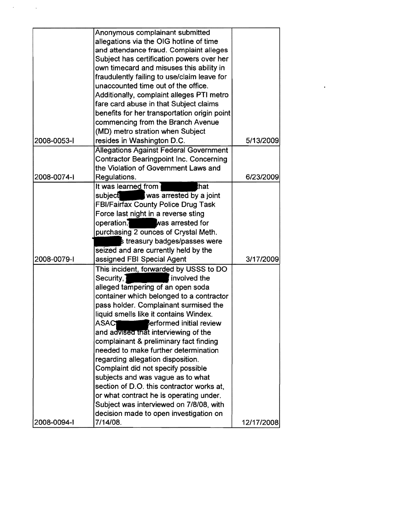|             | Anonymous complainant submitted                 |            |
|-------------|-------------------------------------------------|------------|
|             | allegations via the OIG hotline of time         |            |
|             | and attendance fraud. Complaint alleges         |            |
|             | Subject has certification powers over her       |            |
|             | own timecard and misuses this ability in        |            |
|             | fraudulently failing to use/claim leave for     |            |
|             | unaccounted time out of the office.             |            |
|             | Additionally, complaint alleges PTI metro       |            |
|             | fare card abuse in that Subject claims          |            |
|             | benefits for her transportation origin point    |            |
|             | commencing from the Branch Avenue               |            |
|             | (MD) metro stration when Subject                |            |
| 2008-0053-1 | resides in Washington D.C.                      | 5/13/2009  |
|             | <b>Allegations Against Federal Government</b>   |            |
|             | Contractor Bearingpoint Inc. Concerning         |            |
|             | the Violation of Government Laws and            |            |
| 2008-0074-1 | Regulations.                                    | 6/23/2009  |
|             | It was learned from<br>that                     |            |
|             | was arrested by a joint<br>subject              |            |
|             | FBI/Fairfax County Police Drug Task             |            |
|             | Force last night in a reverse sting             |            |
|             | operation. Was arrested for                     |            |
|             | purchasing 2 ounces of Crystal Meth.            |            |
|             | s treasury badges/passes were                   |            |
|             | seized and are currently held by the            |            |
| 2008-0079-1 | assigned FBI Special Agent                      | 3/17/2009  |
|             | This incident, forwarded by USSS to DO          |            |
|             | Security,<br>involved the                       |            |
|             | alleged tampering of an open soda               |            |
|             | container which belonged to a contractor        |            |
|             | pass holder. Complainant surmised the           |            |
|             | liquid smells like it contains Windex.          |            |
|             | <b>ASACT</b><br><b>Serformed initial review</b> |            |
|             | and advised that interviewing of the            |            |
|             | complainant & preliminary fact finding          |            |
|             | needed to make further determination            |            |
|             | regarding allegation disposition.               |            |
|             | Complaint did not specify possible              |            |
|             | subjects and was vague as to what               |            |
|             | section of D.O. this contractor works at.       |            |
|             | or what contract he is operating under.         |            |
|             | Subject was interviewed on 7/8/08, with         |            |
|             | decision made to open investigation on          |            |
| 2008-0094-1 | 7/14/08.                                        | 12/17/2008 |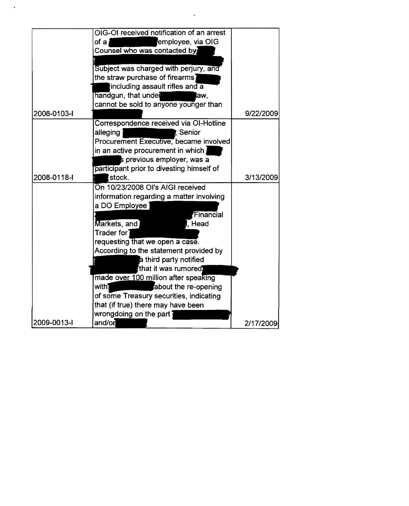|             | OIG-OI received notification of an arrest |           |
|-------------|-------------------------------------------|-----------|
|             | employee, via OIG<br>of $a_i$             |           |
|             | Counsel who was contacted by              |           |
|             |                                           |           |
|             | Subject was charged with perjury, and     |           |
|             | the straw purchase of firearms            |           |
|             | including assault rifles and a            |           |
|             | handgun, that under<br>law,               |           |
|             | cannot be sold to anyone younger than     |           |
| 2008-0103-1 |                                           | 9/22/2009 |
|             | Correspondence received via OI-Hotline    |           |
|             | alleging<br>Senior                        |           |
|             | Procurement Executive, became involved    |           |
|             | in an active procurement in which         |           |
|             | s previous employer, was a                |           |
|             | participant prior to divesting himself of |           |
| 2008-0118-I | stock.                                    | 3/13/2009 |
|             | On 10/23/2008 OI's AIGI received          |           |
|             | information regarding a matter involving  |           |
|             | a DO Employee                             |           |
|             | Financial                                 |           |
|             | Markets, and<br>l, Head                   |           |
|             | $\sf{Trader}\; \sf{for}\; \sf{I}$         |           |
|             | requesting that we open a case.           |           |
|             | According to the statement provided by    |           |
|             | a third party notified                    |           |
|             | that it was rumored                       |           |
|             | made over 100 million after speaking      |           |
|             | with1<br>about the re-opening             |           |
|             | of some Treasury securities, indicating   |           |
|             | that (if true) there may have been        |           |
|             | wrongdoing on the part $^{\dagger}$       |           |
| 2009-0013-1 | and/on                                    | 2/17/2009 |

 $\mathcal{L}(\mathcal{A})$  and  $\mathcal{L}(\mathcal{A})$ 

 $\mathcal{L}_{\mathcal{L}}$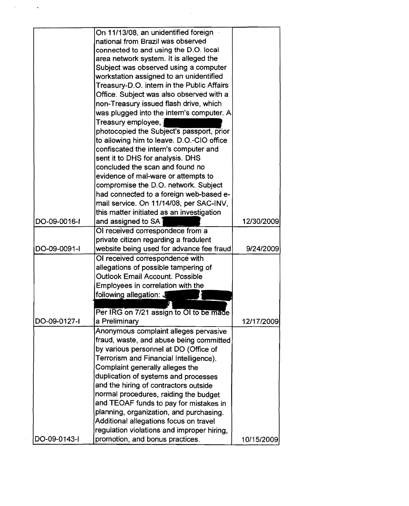|              | On 11/13/08, an unidentified foreign       |            |
|--------------|--------------------------------------------|------------|
|              | national from Brazil was observed          |            |
|              | connected to and using the D.O. local      |            |
|              | area network system. It is alleged the     |            |
|              | Subject was observed using a computer      |            |
|              | workstation assigned to an unidentified    |            |
|              | Treasury-D.O. intern in the Public Affairs |            |
|              | Office. Subject was also observed with a   |            |
|              | non-Treasury issued flash drive, which     |            |
|              | was plugged into the intern's computer. A  |            |
|              | Treasury employee,                         |            |
|              |                                            |            |
|              | photocopied the Subject's passport, prior  |            |
|              | to allowing him to leave. D.O.-CIO office  |            |
|              | confiscated the intern's computer and      |            |
|              | sent it to DHS for analysis. DHS           |            |
|              | concluded the scan and found no            |            |
|              | evidence of mal-ware or attempts to        |            |
|              | compromise the D.O. network. Subject       |            |
|              | had connected to a foreign web-based e-    |            |
|              | mail service. On 11/14/08, per SAC-INV,    |            |
|              | this matter initiated as an investigation  |            |
| DO-09-0016-I | and assigned to SA                         | 12/30/2009 |
|              | OI received correspondece from a           |            |
|              | private citizen regarding a fradulent      |            |
| DO-09-0091-I | website being used for advance fee fraud   | 9/24/2009  |
|              | OI received correspondence with            |            |
|              | allegations of possible tampering of       |            |
|              | <b>Outlook Email Account. Possible</b>     |            |
|              | Employees in correlation with the          |            |
|              | following allegation: J                    |            |
|              |                                            |            |
|              | Per IRG on 7/21 assign to OI to be made    |            |
| DO-09-0127-I | a Preliminary                              | 12/17/2009 |
|              | Anonymous complaint alleges pervasive      |            |
|              | fraud, waste, and abuse being committed    |            |
|              | by various personnel at DO (Office of      |            |
|              | Terrorism and Financial Intelligence).     |            |
|              | Complaint generally alleges the            |            |
|              | duplication of systems and processes       |            |
|              | and the hiring of contractors outside      |            |
|              | normal procedures, raiding the budget      |            |
|              |                                            |            |
|              | and TEOAF funds to pay for mistakes in     |            |
|              | planning, organization, and purchasing.    |            |
|              | Additional allegations focus on travel     |            |
|              | regulation violations and improper hiring, |            |
| DO-09-0143-I | promotion, and bonus practices.            | 10/15/2009 |

 $\label{eq:2.1} \frac{1}{2} \int_{\mathbb{R}^3} \frac{1}{\sqrt{2\pi}} \int_{\mathbb{R}^3} \frac{1}{\sqrt{2\pi}} \int_{\mathbb{R}^3} \frac{1}{\sqrt{2\pi}} \int_{\mathbb{R}^3} \frac{1}{\sqrt{2\pi}} \int_{\mathbb{R}^3} \frac{1}{\sqrt{2\pi}} \int_{\mathbb{R}^3} \frac{1}{\sqrt{2\pi}} \int_{\mathbb{R}^3} \frac{1}{\sqrt{2\pi}} \int_{\mathbb{R}^3} \frac{1}{\sqrt{2\pi}} \int_{\mathbb{R}^3}$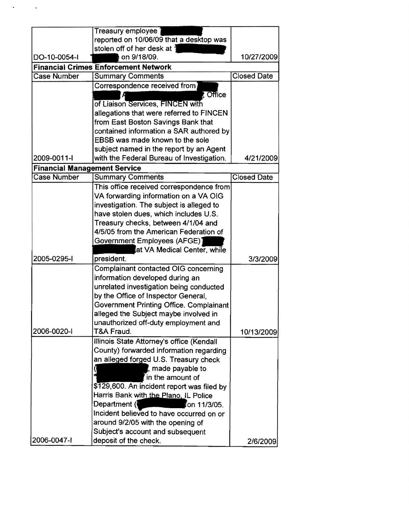|                                     | reported on 10/06/09 that a desktop was     |                    |
|-------------------------------------|---------------------------------------------|--------------------|
|                                     | stolen off of her desk at 3                 |                    |
| DO-10-0054-I                        | on 9/18/09.                                 | 10/27/2009         |
|                                     | <b>Financial Crimes Enforcement Network</b> |                    |
| <b>Case Number</b>                  | <b>Summary Comments</b>                     | <b>Closed Date</b> |
|                                     | Correspondence received from                |                    |
|                                     | $,$ Office                                  |                    |
|                                     | of Liaison Services, FINCEN with            |                    |
|                                     | allegations that were referred to FINCEN    |                    |
|                                     | from East Boston Savings Bank that          |                    |
|                                     | contained information a SAR authored by     |                    |
|                                     | EBSB was made known to the sole             |                    |
|                                     | subject named in the report by an Agent     |                    |
| 2009-0011-I                         | with the Federal Bureau of Investigation.   | 4/21/2009          |
| <b>Financial Management Service</b> |                                             |                    |
| <b>Case Number</b>                  | <b>Summary Comments</b>                     | <b>Closed Date</b> |
|                                     | This office received correspondence from    |                    |
|                                     | VA forwarding information on a VA OIG       |                    |
|                                     | investigation. The subject is alleged to    |                    |
|                                     | have stolen dues, which includes U.S.       |                    |
|                                     | Treasury checks, between 4/1/04 and         |                    |
|                                     | 4/5/05 from the American Federation of      |                    |
|                                     | Government Employees (AFGE)]                |                    |
|                                     | at VA Medical Center, while                 |                    |
| 2005-0295-1                         | president.                                  | 3/3/2009           |
|                                     | Complainant contacted OIG concerning        |                    |
|                                     | information developed during an             |                    |
|                                     | unrelated investigation being conducted     |                    |
|                                     | by the Office of Inspector General,         |                    |
|                                     | Government Printing Office. Complainant     |                    |
|                                     | alleged the Subject maybe involved in       |                    |
|                                     | unauthorized off-duty employment and        |                    |
| 2006-0020-1                         | T&A Fraud.                                  | 10/13/2009         |
|                                     | Illinois State Attorney's office (Kendall   |                    |
|                                     | County) forwarded information regarding     |                    |
|                                     | an alleged forged U.S. Treasury check       |                    |
|                                     | made payable to                             |                    |
|                                     | in the amount of                            |                    |
|                                     | \$129,600. An incident report was filed by  |                    |
|                                     | Harris Bank with the Plano. IL Police       |                    |
|                                     | Department (<br>≸on 11/3/05.                |                    |
|                                     | Incident believed to have occurred on or    |                    |
|                                     | around 9/2/05 with the opening of           |                    |
|                                     | Subject's account and subsequent            |                    |
| 2006-0047-1                         | deposit of the check.                       | 2/6/2009           |

 $\mathcal{L}(\mathbf{x})$  and  $\mathcal{L}(\mathbf{x})$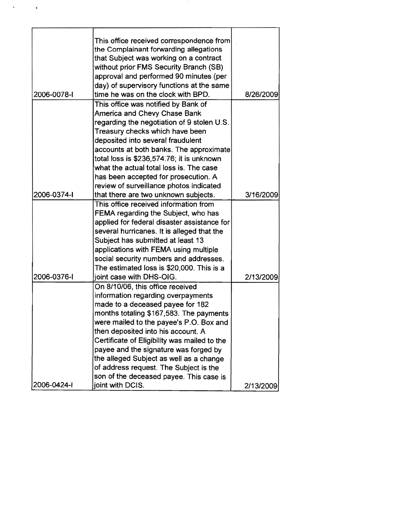| 2006-0078-1 | This office received correspondence from<br>the Complainant forwarding allegations<br>that Subject was working on a contract<br>without prior FMS Security Branch (SB)<br>approval and performed 90 minutes (per<br>day) of supervisory functions at the same<br>time he was on the clock with BPD. | 8/26/2009 |
|-------------|-----------------------------------------------------------------------------------------------------------------------------------------------------------------------------------------------------------------------------------------------------------------------------------------------------|-----------|
|             | This office was notified by Bank of                                                                                                                                                                                                                                                                 |           |
|             | America and Chevy Chase Bank                                                                                                                                                                                                                                                                        |           |
|             | regarding the negotiation of 9 stolen U.S.                                                                                                                                                                                                                                                          |           |
|             | Treasury checks which have been                                                                                                                                                                                                                                                                     |           |
|             | deposited into several fraudulent                                                                                                                                                                                                                                                                   |           |
|             | accounts at both banks. The approximate                                                                                                                                                                                                                                                             |           |
|             | total loss is \$236,574.76; it is unknown                                                                                                                                                                                                                                                           |           |
|             | what the actual total loss is. The case                                                                                                                                                                                                                                                             |           |
|             | has been accepted for prosecution. A                                                                                                                                                                                                                                                                |           |
|             | review of surveillance photos indicated                                                                                                                                                                                                                                                             |           |
| 2006-0374-1 | that there are two unknown subjects.                                                                                                                                                                                                                                                                | 3/16/2009 |
|             | This office received information from                                                                                                                                                                                                                                                               |           |
|             | FEMA regarding the Subject, who has                                                                                                                                                                                                                                                                 |           |
|             | applied for federal disaster assistance for                                                                                                                                                                                                                                                         |           |
|             | several hurricanes. It is alleged that the                                                                                                                                                                                                                                                          |           |
|             | Subject has submitted at least 13                                                                                                                                                                                                                                                                   |           |
|             | applications with FEMA using multiple                                                                                                                                                                                                                                                               |           |
|             | social security numbers and addresses.                                                                                                                                                                                                                                                              |           |
|             | The estimated loss is \$20,000. This is a                                                                                                                                                                                                                                                           |           |
| 2006-0376-1 | joint case with DHS-OIG.                                                                                                                                                                                                                                                                            | 2/13/2009 |
|             | On 8/10/06, this office received                                                                                                                                                                                                                                                                    |           |
|             | information regarding overpayments                                                                                                                                                                                                                                                                  |           |
|             | made to a deceased payee for 182                                                                                                                                                                                                                                                                    |           |
|             | months totaling \$167,583. The payments                                                                                                                                                                                                                                                             |           |
|             | were mailed to the payee's P.O. Box and                                                                                                                                                                                                                                                             |           |
|             | then deposited into his account. A                                                                                                                                                                                                                                                                  |           |
|             | Certificate of Eligibility was mailed to the                                                                                                                                                                                                                                                        |           |
|             | payee and the signature was forged by                                                                                                                                                                                                                                                               |           |
|             | the alleged Subject as well as a change                                                                                                                                                                                                                                                             |           |
|             | of address request. The Subject is the                                                                                                                                                                                                                                                              |           |
|             | son of the deceased payee. This case is                                                                                                                                                                                                                                                             |           |
| 2006-0424-1 | joint with DCIS.                                                                                                                                                                                                                                                                                    | 2/13/2009 |

 $\sim 10^{11}$ 

 $\mathcal{L}(\mathcal{A})$  and  $\mathcal{L}(\mathcal{A})$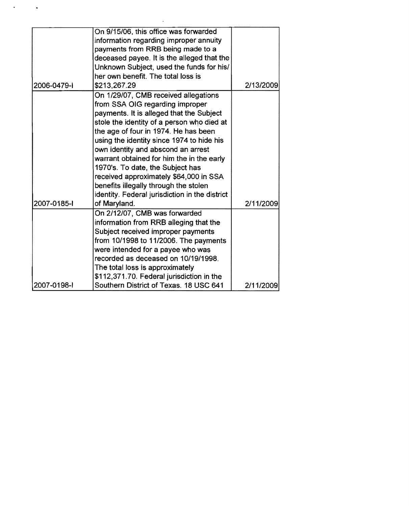| On 9/15/06, this office was forwarded<br>information regarding improper annuity<br>payments from RRB being made to a<br>deceased payee. It is the alleged that the<br>Unknown Subject, used the funds for his/<br>her own benefit. The total loss is<br>2006-0479-1<br>\$213,267.29<br>On 1/29/07, CMB received allegations<br>from SSA OIG regarding improper<br>payments. It is alleged that the Subject<br>stole the identity of a person who died at<br>the age of four in 1974. He has been<br>using the identity since 1974 to hide his<br>own identity and abscond an arrest<br>warrant obtained for him the in the early<br>1970's. To date, the Subject has<br>received approximately \$64,000 in SSA<br>benefits illegally through the stolen<br>identity. Federal jurisdiction in the district<br>2007-0185-1<br>of Maryland.<br>On 2/12/07, CMB was forwarded<br>information from RRB alleging that the<br>Subject received improper payments<br>from 10/1998 to 11/2006. The payments<br>were intended for a payee who was<br>recorded as deceased on 10/19/1998.<br>The total loss is approximately<br>\$112,371.70. Federal jurisdiction in the<br>2007-0198-1<br>Southern District of Texas. 18 USC 641 |  |           |
|-------------------------------------------------------------------------------------------------------------------------------------------------------------------------------------------------------------------------------------------------------------------------------------------------------------------------------------------------------------------------------------------------------------------------------------------------------------------------------------------------------------------------------------------------------------------------------------------------------------------------------------------------------------------------------------------------------------------------------------------------------------------------------------------------------------------------------------------------------------------------------------------------------------------------------------------------------------------------------------------------------------------------------------------------------------------------------------------------------------------------------------------------------------------------------------------------------------------------|--|-----------|
|                                                                                                                                                                                                                                                                                                                                                                                                                                                                                                                                                                                                                                                                                                                                                                                                                                                                                                                                                                                                                                                                                                                                                                                                                         |  |           |
|                                                                                                                                                                                                                                                                                                                                                                                                                                                                                                                                                                                                                                                                                                                                                                                                                                                                                                                                                                                                                                                                                                                                                                                                                         |  |           |
|                                                                                                                                                                                                                                                                                                                                                                                                                                                                                                                                                                                                                                                                                                                                                                                                                                                                                                                                                                                                                                                                                                                                                                                                                         |  |           |
|                                                                                                                                                                                                                                                                                                                                                                                                                                                                                                                                                                                                                                                                                                                                                                                                                                                                                                                                                                                                                                                                                                                                                                                                                         |  |           |
|                                                                                                                                                                                                                                                                                                                                                                                                                                                                                                                                                                                                                                                                                                                                                                                                                                                                                                                                                                                                                                                                                                                                                                                                                         |  |           |
|                                                                                                                                                                                                                                                                                                                                                                                                                                                                                                                                                                                                                                                                                                                                                                                                                                                                                                                                                                                                                                                                                                                                                                                                                         |  |           |
|                                                                                                                                                                                                                                                                                                                                                                                                                                                                                                                                                                                                                                                                                                                                                                                                                                                                                                                                                                                                                                                                                                                                                                                                                         |  | 2/13/2009 |
|                                                                                                                                                                                                                                                                                                                                                                                                                                                                                                                                                                                                                                                                                                                                                                                                                                                                                                                                                                                                                                                                                                                                                                                                                         |  |           |
|                                                                                                                                                                                                                                                                                                                                                                                                                                                                                                                                                                                                                                                                                                                                                                                                                                                                                                                                                                                                                                                                                                                                                                                                                         |  |           |
|                                                                                                                                                                                                                                                                                                                                                                                                                                                                                                                                                                                                                                                                                                                                                                                                                                                                                                                                                                                                                                                                                                                                                                                                                         |  |           |
|                                                                                                                                                                                                                                                                                                                                                                                                                                                                                                                                                                                                                                                                                                                                                                                                                                                                                                                                                                                                                                                                                                                                                                                                                         |  |           |
|                                                                                                                                                                                                                                                                                                                                                                                                                                                                                                                                                                                                                                                                                                                                                                                                                                                                                                                                                                                                                                                                                                                                                                                                                         |  |           |
|                                                                                                                                                                                                                                                                                                                                                                                                                                                                                                                                                                                                                                                                                                                                                                                                                                                                                                                                                                                                                                                                                                                                                                                                                         |  |           |
|                                                                                                                                                                                                                                                                                                                                                                                                                                                                                                                                                                                                                                                                                                                                                                                                                                                                                                                                                                                                                                                                                                                                                                                                                         |  |           |
|                                                                                                                                                                                                                                                                                                                                                                                                                                                                                                                                                                                                                                                                                                                                                                                                                                                                                                                                                                                                                                                                                                                                                                                                                         |  |           |
|                                                                                                                                                                                                                                                                                                                                                                                                                                                                                                                                                                                                                                                                                                                                                                                                                                                                                                                                                                                                                                                                                                                                                                                                                         |  |           |
|                                                                                                                                                                                                                                                                                                                                                                                                                                                                                                                                                                                                                                                                                                                                                                                                                                                                                                                                                                                                                                                                                                                                                                                                                         |  |           |
|                                                                                                                                                                                                                                                                                                                                                                                                                                                                                                                                                                                                                                                                                                                                                                                                                                                                                                                                                                                                                                                                                                                                                                                                                         |  |           |
|                                                                                                                                                                                                                                                                                                                                                                                                                                                                                                                                                                                                                                                                                                                                                                                                                                                                                                                                                                                                                                                                                                                                                                                                                         |  |           |
|                                                                                                                                                                                                                                                                                                                                                                                                                                                                                                                                                                                                                                                                                                                                                                                                                                                                                                                                                                                                                                                                                                                                                                                                                         |  | 2/11/2009 |
|                                                                                                                                                                                                                                                                                                                                                                                                                                                                                                                                                                                                                                                                                                                                                                                                                                                                                                                                                                                                                                                                                                                                                                                                                         |  |           |
|                                                                                                                                                                                                                                                                                                                                                                                                                                                                                                                                                                                                                                                                                                                                                                                                                                                                                                                                                                                                                                                                                                                                                                                                                         |  |           |
|                                                                                                                                                                                                                                                                                                                                                                                                                                                                                                                                                                                                                                                                                                                                                                                                                                                                                                                                                                                                                                                                                                                                                                                                                         |  |           |
|                                                                                                                                                                                                                                                                                                                                                                                                                                                                                                                                                                                                                                                                                                                                                                                                                                                                                                                                                                                                                                                                                                                                                                                                                         |  |           |
|                                                                                                                                                                                                                                                                                                                                                                                                                                                                                                                                                                                                                                                                                                                                                                                                                                                                                                                                                                                                                                                                                                                                                                                                                         |  |           |
|                                                                                                                                                                                                                                                                                                                                                                                                                                                                                                                                                                                                                                                                                                                                                                                                                                                                                                                                                                                                                                                                                                                                                                                                                         |  |           |
|                                                                                                                                                                                                                                                                                                                                                                                                                                                                                                                                                                                                                                                                                                                                                                                                                                                                                                                                                                                                                                                                                                                                                                                                                         |  |           |
|                                                                                                                                                                                                                                                                                                                                                                                                                                                                                                                                                                                                                                                                                                                                                                                                                                                                                                                                                                                                                                                                                                                                                                                                                         |  |           |
|                                                                                                                                                                                                                                                                                                                                                                                                                                                                                                                                                                                                                                                                                                                                                                                                                                                                                                                                                                                                                                                                                                                                                                                                                         |  | 2/11/2009 |

 $\mathcal{L}^{\text{max}}_{\text{max}}$  , where  $\mathcal{L}^{\text{max}}_{\text{max}}$ 

 $\epsilon = 1/2$  .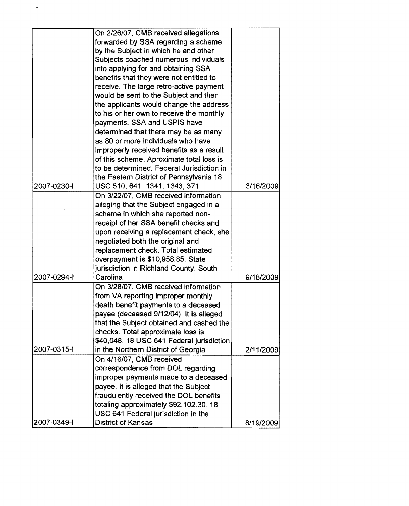|             | On 2/26/07, CMB received allegations      |           |
|-------------|-------------------------------------------|-----------|
|             | forwarded by SSA regarding a scheme       |           |
|             | by the Subject in which he and other      |           |
|             | Subjects coached numerous individuals     |           |
|             | into applying for and obtaining SSA       |           |
|             | benefits that they were not entitled to   |           |
|             | receive. The large retro-active payment   |           |
|             | would be sent to the Subject and then     |           |
|             | the applicants would change the address   |           |
|             | to his or her own to receive the monthly  |           |
|             | payments. SSA and USPIS have              |           |
|             | determined that there may be as many      |           |
|             | as 80 or more individuals who have        |           |
|             | improperly received benefits as a result  |           |
|             | of this scheme. Aproximate total loss is  |           |
|             | to be determined. Federal Jurisdiction in |           |
|             | the Eastern District of Pennsylvania 18   |           |
| 2007-0230-I | USC 510, 641, 1341, 1343, 371             | 3/16/2009 |
|             | On 3/22/07, CMB received information      |           |
|             | alleging that the Subject engaged in a    |           |
|             | scheme in which she reported non-         |           |
|             | receipt of her SSA benefit checks and     |           |
|             |                                           |           |
|             | upon receiving a replacement check, she   |           |
|             | negotiated both the original and          |           |
|             | replacement check. Total estimated        |           |
|             | overpayment is \$10,958.85. State         |           |
|             | jurisdiction in Richland County, South    |           |
| 2007-0294-1 | Carolina                                  | 9/18/2009 |
|             | On 3/28/07, CMB received information      |           |
|             | from VA reporting improper monthly        |           |
|             | death benefit payments to a deceased      |           |
|             | payee (deceased 9/12/04). It is alleged   |           |
|             | that the Subject obtained and cashed the  |           |
|             | checks. Total approximate loss is         |           |
|             | \$40,048. 18 USC 641 Federal jurisdiction |           |
| 2007-0315-1 | in the Northern District of Georgia       | 2/11/2009 |
|             | On 4/16/07, CMB received                  |           |
|             | correspondence from DOL regarding         |           |
|             | improper payments made to a deceased      |           |
|             | payee. It is alleged that the Subject,    |           |
|             | fraudulently received the DOL benefits    |           |
|             | totaling approximately \$92,102.30. 18    |           |
|             | USC 641 Federal jurisdiction in the       |           |
| 2007-0349-1 | District of Kansas                        | 8/19/2009 |

 $\hat{\textbf{z}}$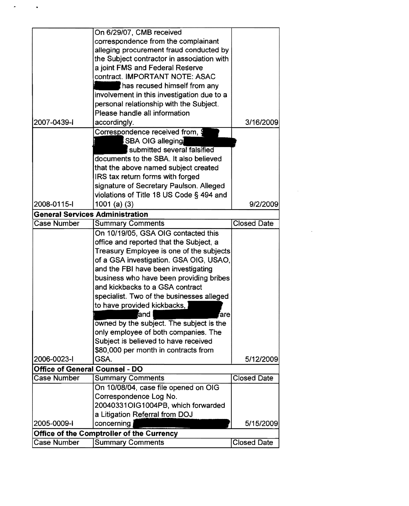|                                        | On 6/29/07, CMB received                                                       |                    |
|----------------------------------------|--------------------------------------------------------------------------------|--------------------|
|                                        | correspondence from the complainant                                            |                    |
|                                        | alleging procurement fraud conducted by                                        |                    |
|                                        | the Subject contractor in association with                                     |                    |
|                                        | a joint FMS and Federal Reserve                                                |                    |
|                                        | contract. IMPORTANT NOTE: ASAC                                                 |                    |
|                                        | has recused himself from any                                                   |                    |
|                                        | involvement in this investigation due to a                                     |                    |
|                                        | personal relationship with the Subject.                                        |                    |
|                                        | Please handle all information                                                  |                    |
| 2007-0439-1                            | accordingly.                                                                   | 3/16/2009          |
|                                        | Correspondence received from, \$                                               |                    |
|                                        | <b>SBA OIG alleging</b>                                                        |                    |
|                                        | submitted several falsified                                                    |                    |
|                                        | documents to the SBA. It also believed                                         |                    |
|                                        | that the above named subject created                                           |                    |
|                                        | IRS tax return forms with forged                                               |                    |
|                                        | signature of Secretary Paulson. Alleged                                        |                    |
|                                        | violations of Title 18 US Code § 494 and                                       |                    |
| 2008-0115-l                            | $1001$ (a) (3)                                                                 | 9/2/2009           |
| <b>General Services Administration</b> |                                                                                |                    |
| <b>Case Number</b>                     | <b>Summary Comments</b>                                                        | <b>Closed Date</b> |
|                                        |                                                                                |                    |
|                                        | On 10/19/05, GSA OIG contacted this<br>office and reported that the Subject, a |                    |
|                                        |                                                                                |                    |
|                                        | Treasury Employee is one of the subjects                                       |                    |
|                                        | of a GSA investigation. GSA OIG, USAO,                                         |                    |
|                                        | and the FBI have been investigating                                            |                    |
|                                        | business who have been providing bribes                                        |                    |
|                                        | and kickbacks to a GSA contract                                                |                    |
|                                        | specialist. Two of the businesses alleged                                      |                    |
|                                        | to have provided kickbacks,                                                    |                    |
|                                        | land<br>ˈarel                                                                  |                    |
|                                        | owned by the subject. The subject is the                                       |                    |
|                                        | only employee of both companies. The                                           |                    |
|                                        | Subject is believed to have received                                           |                    |
|                                        | \$80,000 per month in contracts from                                           |                    |
| 2006-0023-1                            | GSA.                                                                           | 5/12/2009          |
| <b>Office of General Counsel - DO</b>  |                                                                                |                    |
| Case Number                            | <b>Summary Comments</b>                                                        | <b>Closed Date</b> |
|                                        | On 10/08/04, case file opened on OIG                                           |                    |
|                                        | Correspondence Log No.                                                         |                    |
|                                        | 20040331OIG1004PB, which forwarded                                             |                    |
|                                        | a Litigation Referral from DOJ                                                 |                    |
| 2005-0009-1                            | concerning                                                                     | 5/15/2009          |
|                                        | Office of the Comptroller of the Currency                                      |                    |
| Case Number                            | <b>Summary Comments</b>                                                        | <b>Closed Date</b> |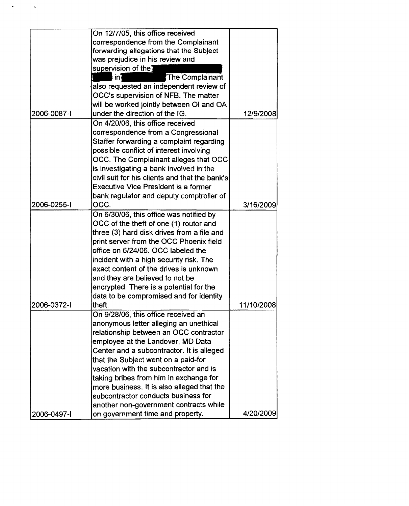|             | On 12/7/05, this office received               |            |
|-------------|------------------------------------------------|------------|
|             |                                                |            |
|             | correspondence from the Complainant            |            |
|             | forwarding allegations that the Subject        |            |
|             | was prejudice in his review and                |            |
|             | supervision of the]                            |            |
|             | The Complainant<br>in)                         |            |
|             | also requested an independent review of        |            |
|             | OCC's supervision of NFB. The matter           |            |
|             | will be worked jointly between OI and OA       |            |
| 2006-0087-1 | under the direction of the IG.                 | 12/9/2008  |
|             | On 4/20/06, this office received               |            |
|             | correspondence from a Congressional            |            |
|             | Staffer forwarding a complaint regarding       |            |
|             | possible conflict of interest involving        |            |
|             | OCC. The Complainant alleges that OCC          |            |
|             | is investigating a bank involved in the        |            |
|             | civil suit for his clients and that the bank's |            |
|             | <b>Executive Vice President is a former</b>    |            |
|             | bank regulator and deputy comptroller of       |            |
| 2006-0255-1 | OCC.                                           | 3/16/2009  |
|             | On 6/30/06, this office was notified by        |            |
|             |                                                |            |
|             | OCC of the theft of one (1) router and         |            |
|             | three (3) hard disk drives from a file and     |            |
|             | print server from the OCC Phoenix field        |            |
|             | office on 6/24/06. OCC labeled the             |            |
|             | incident with a high security risk. The        |            |
|             | exact content of the drives is unknown         |            |
|             | and they are believed to not be                |            |
|             | encrypted. There is a potential for the        |            |
|             | data to be compromised and for identity        |            |
| 2006-0372-1 | theft.                                         | 11/10/2008 |
|             | On 9/28/06, this office received an            |            |
|             | anonymous letter alleging an unethical         |            |
|             | relationship between an OCC contractor         |            |
|             | employee at the Landover, MD Data              |            |
|             | Center and a subcontractor. It is alleged      |            |
|             | that the Subject went on a paid-for            |            |
|             | vacation with the subcontractor and is         |            |
|             | taking bribes from him in exchange for         |            |
|             | more business. It is also alleged that the     |            |
|             | subcontractor conducts business for            |            |
|             | another non-government contracts while         |            |
| 2006-0497-1 | on government time and property.               | 4/20/2009  |
|             |                                                |            |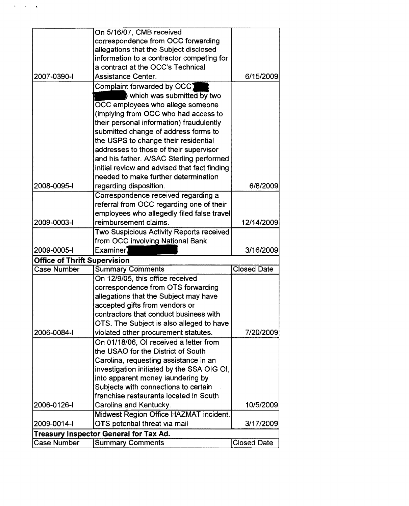|                                     | On 5/16/07, CMB received                     |                    |
|-------------------------------------|----------------------------------------------|--------------------|
|                                     | correspondence from OCC forwarding           |                    |
|                                     | allegations that the Subject disclosed       |                    |
|                                     | information to a contractor competing for    |                    |
|                                     | a contract at the OCC's Technical            |                    |
| 2007-0390-1                         | <b>Assistance Center.</b>                    | 6/15/2009          |
|                                     | Complaint forwarded by OCC1                  |                    |
|                                     | which was submitted by two                   |                    |
|                                     | OCC employees who allege someone             |                    |
|                                     | (implying from OCC who had access to         |                    |
|                                     | their personal information) fraudulently     |                    |
|                                     | submitted change of address forms to         |                    |
|                                     | the USPS to change their residential         |                    |
|                                     | addresses to those of their supervisor       |                    |
|                                     | and his father. A/SAC Sterling performed     |                    |
|                                     | initial review and advised that fact finding |                    |
|                                     | needed to make further determination         |                    |
| 2008-0095-1                         | regarding disposition.                       | 6/8/2009           |
|                                     | Correspondence received regarding a          |                    |
|                                     | referral from OCC regarding one of their     |                    |
|                                     | employees who allegedly filed false travel   |                    |
| 2009-0003-I                         | reimbursement claims.                        | 12/14/2009         |
|                                     | Two Suspicious Activity Reports received     |                    |
|                                     | from OCC involving National Bank             |                    |
| 2009-0005-1                         | Examiner.                                    | 3/16/2009          |
| <b>Office of Thrift Supervision</b> |                                              |                    |
| <b>Case Number</b>                  | <b>Summary Comments</b>                      | <b>Closed Date</b> |
|                                     | On 12/9/05, this office received             |                    |
|                                     | correspondence from OTS forwarding           |                    |
|                                     | allegations that the Subject may have        |                    |
|                                     | accepted gifts from vendors or               |                    |
|                                     | contractors that conduct business with       |                    |
|                                     | OTS. The Subject is also alleged to have     |                    |
| 2006-0084-1                         | violated other procurement statutes.         | 7/20/2009          |
|                                     | On 01/18/06. OI received a letter from       |                    |
|                                     | the USAO for the District of South           |                    |
|                                     | Carolina, requesting assistance in an        |                    |
|                                     | investigation initiated by the SSA OIG OI,   |                    |
|                                     | into apparent money laundering by            |                    |
|                                     | Subjects with connections to certain         |                    |
|                                     | franchise restaurants located in South       |                    |
| 2006-0126-1                         | Carolina and Kentucky.                       | 10/5/2009          |
|                                     | Midwest Region Office HAZMAT incident.       |                    |
| 2009-0014-1                         | OTS potential threat via mail                | 3/17/2009          |
|                                     | Treasury Inspector General for Tax Ad.       |                    |
| <b>Case Number</b>                  | <b>Summary Comments</b>                      | <b>Closed Date</b> |

 $\frac{1}{2}$  ,  $\frac{1}{2}$  ,  $\frac{1}{2}$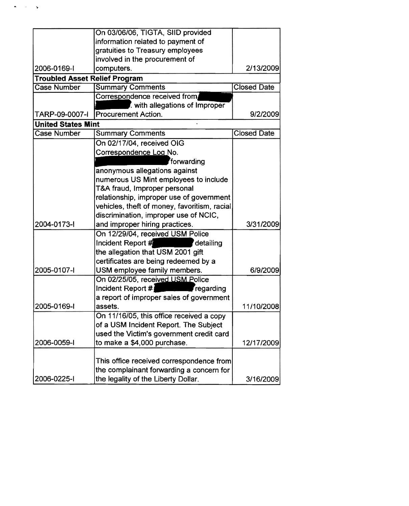|                                      | On 03/06/06, TIGTA, SIID provided            |                    |
|--------------------------------------|----------------------------------------------|--------------------|
|                                      | information related to payment of            |                    |
|                                      | gratuities to Treasury employees             |                    |
|                                      | involved in the procurement of               |                    |
| 2006-0169-1                          | computers.                                   | 2/13/2009          |
| <b>Troubled Asset Relief Program</b> |                                              |                    |
| Case Number                          | <b>Summary Comments</b>                      | <b>Closed Date</b> |
|                                      | Correspondence received from                 |                    |
|                                      | with allegations of Improper                 |                    |
| TARP-09-0007-I                       | <b>Procurement Action.</b>                   | 9/2/2009           |
| <b>United States Mint</b>            |                                              |                    |
| <b>Case Number</b>                   | <b>Summary Comments</b>                      | <b>Closed Date</b> |
|                                      | On 02/17/04, received OIG                    |                    |
|                                      | Correspondence Log No.                       |                    |
|                                      | forwarding                                   |                    |
|                                      | anonymous allegations against                |                    |
|                                      | numerous US Mint employees to include        |                    |
|                                      | T&A fraud, Improper personal                 |                    |
|                                      | relationship, improper use of government     |                    |
|                                      | vehicles, theft of money, favoritism, racial |                    |
|                                      | discrimination, improper use of NCIC,        |                    |
| 2004-0173-1                          | and improper hiring practices.               | 3/31/2009          |
|                                      | On 12/29/04, received USM Police             |                    |
|                                      | Incident Report $#$ detailing                |                    |
|                                      | the allegation that USM 2001 gift            |                    |
|                                      | certificates are being redeemed by a         |                    |
| 2005-0107-I                          | USM employee family members.                 | 6/9/2009           |
|                                      | On 02/25/05, received USM Police             |                    |
|                                      | Incident Report # regarding                  |                    |
|                                      | a report of improper sales of government     |                    |
| 2005-0169-1                          | assets.                                      | 11/10/2008         |
|                                      | On 11/16/05, this office received a copy     |                    |
|                                      | of a USM Incident Report. The Subject        |                    |
|                                      | used the Victim's government credit card     |                    |
| 2006-0059-1                          | to make a \$4,000 purchase.                  | 12/17/2009         |
|                                      |                                              |                    |
|                                      | This office received correspondence from     |                    |
|                                      | the complainant forwarding a concern for     |                    |
| 2006-0225-1                          | the legality of the Liberty Dollar.          | 3/16/2009          |

 $\mathcal{L}^{(1)}$  $\hat{\mathbf{r}}$ 

 $\ddot{\bullet}$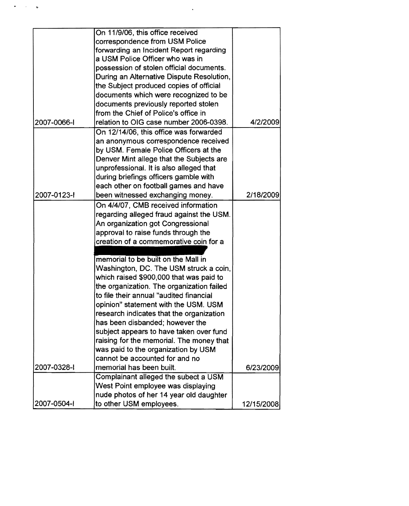|             | On 11/9/06, this office received          |            |
|-------------|-------------------------------------------|------------|
|             | correspondence from USM Police            |            |
|             | forwarding an Incident Report regarding   |            |
|             | a USM Police Officer who was in           |            |
|             | possession of stolen official documents.  |            |
|             | During an Alternative Dispute Resolution, |            |
|             | the Subject produced copies of official   |            |
|             | documents which were recognized to be     |            |
|             | documents previously reported stolen      |            |
|             | from the Chief of Police's office in      |            |
| 2007-0066-1 | relation to OIG case number 2006-0398.    | 4/2/2009   |
|             | On 12/14/06, this office was forwarded    |            |
|             | an anonymous correspondence received      |            |
|             | by USM. Female Police Officers at the     |            |
|             |                                           |            |
|             | Denver Mint allege that the Subjects are  |            |
|             | unprofessional. It is also alleged that   |            |
|             | during briefings officers gamble with     |            |
|             | each other on football games and have     |            |
| 2007-0123-1 | been witnessed exchanging money.          | 2/18/2009  |
|             | On 4/4/07, CMB received information       |            |
|             | regarding alleged fraud against the USM.  |            |
|             | An organization got Congressional         |            |
|             | approval to raise funds through the       |            |
|             | creation of a commemorative coin for a    |            |
|             |                                           |            |
|             | memorial to be built on the Mall in       |            |
|             | Washington, DC. The USM struck a coin,    |            |
|             | which raised \$900,000 that was paid to   |            |
|             | the organization. The organization failed |            |
|             | to file their annual "audited financial   |            |
|             | opinion" statement with the USM. USM      |            |
|             | research indicates that the organization  |            |
|             | has been disbanded; however the           |            |
|             | subject appears to have taken over fund   |            |
|             | raising for the memorial. The money that  |            |
|             | was paid to the organization by USM       |            |
|             | cannot be accounted for and no            |            |
| 2007-0328-1 | memorial has been built.                  | 6/23/2009  |
|             | Complainant alleged the subect a USM      |            |
|             | West Point employee was displaying        |            |
|             | nude photos of her 14 year old daughter   |            |
| 2007-0504-1 | to other USM employees.                   |            |
|             |                                           | 12/15/2008 |

 $\mathcal{L}^{\text{max}}_{\text{max}}$ 

..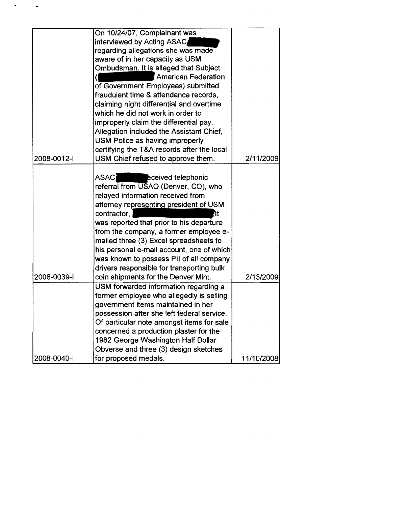|             | On 10/24/07, Complainant was               |            |
|-------------|--------------------------------------------|------------|
|             | interviewed by Acting ASAC                 |            |
|             | regarding allegations she was made         |            |
|             | aware of in her capacity as USM            |            |
|             | Ombudsman. It is alleged that Subject      |            |
|             | <b>American Federation</b>                 |            |
|             | of Government Employees) submitted         |            |
|             | fraudulent time & attendance records,      |            |
|             | claiming night differential and overtime   |            |
|             | which he did not work in order to          |            |
|             | improperly claim the differential pay.     |            |
|             | Allegation included the Assistant Chief,   |            |
|             | USM Police as having improperly            |            |
|             | certifying the T&A records after the local |            |
| 2008-0012-1 | USM Chief refused to approve them.         | 2/11/2009  |
|             |                                            |            |
|             | ASAC]<br>eceived telephonic                |            |
|             | referral from USAO (Denver, CO), who       |            |
|             | relayed information received from          |            |
|             | attorney representing president of USM     |            |
|             | contractor,                                |            |
|             | was reported that prior to his departure   |            |
|             | from the company, a former employee e-     |            |
|             | mailed three (3) Excel spreadsheets to     |            |
|             | his personal e-mail account, one of which  |            |
|             | was known to possess PII of all company    |            |
|             | drivers responsible for transporting bulk  |            |
| 2008-0039-1 | coin shipments for the Denver Mint.        | 2/13/2009  |
|             | USM forwarded information regarding a      |            |
|             | former employee who allegedly is selling   |            |
|             | government items maintained in her         |            |
|             | possession after she left federal service. |            |
|             | Of particular note amongst items for sale  |            |
|             | concerned a production plaster for the     |            |
|             | 1982 George Washington Half Dollar         |            |
|             | Obverse and three (3) design sketches      |            |
| 2008-0040-1 | for proposed medals.                       | 11/10/2008 |

..

 $\hat{\mathbf{r}}$